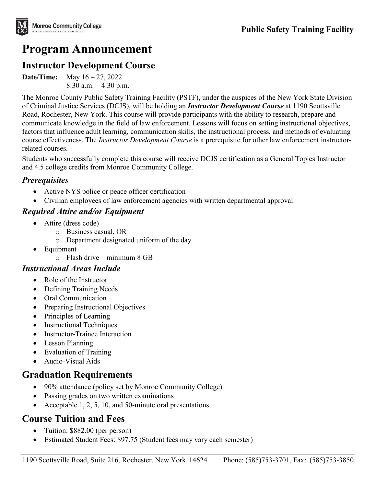# **Program Announcement**

### **Instructor Development Course**

**Date/Time:** May 16 – 27, 2022 8:30 a.m. – 4:30 p.m.

The Monroe County Public Safety Training Facility (PSTF), under the auspices of the New York State Division of Criminal Justice Services (DCJS), will be holding an *Instructor Development Course* at 1190 Scottsville Road, Rochester, New York. This course will provide participants with the ability to research, prepare and communicate knowledge in the field of law enforcement. Lessons will focus on setting instructional objectives, factors that influence adult learning, communication skills, the instructional process, and methods of evaluating course effectiveness. The *Instructor Development Course* is a prerequisite for other law enforcement instructorrelated courses.

Students who successfully complete this course will receive DCJS certification as a General Topics Instructor and 4.5 college credits from Monroe Community College.

#### *Prerequisites*

- Active NYS police or peace officer certification
- Civilian employees of law enforcement agencies with written departmental approval

#### *Required Attire and/or Equipment*

- Attire (dress code)
	- o Business casual, OR
	- o Department designated uniform of the day
- Equipment
	- $\circ$  Flash drive minimum 8 GB

#### *Instructional Areas Include*

- Role of the Instructor
- Defining Training Needs
- Oral Communication
- Preparing Instructional Objectives
- Principles of Learning
- Instructional Techniques
- Instructor-Trainee Interaction
- Lesson Planning
- Evaluation of Training
- Audio-Visual Aids

### **Graduation Requirements**

- 90% attendance (policy set by Monroe Community College)
- Passing grades on two written examinations
- Acceptable 1, 2, 5, 10, and 50-minute oral presentations

## **Course Tuition and Fees**

- Tuition: \$882.00 (per person)
- Estimated Student Fees: \$97.75 (Student fees may vary each semester)